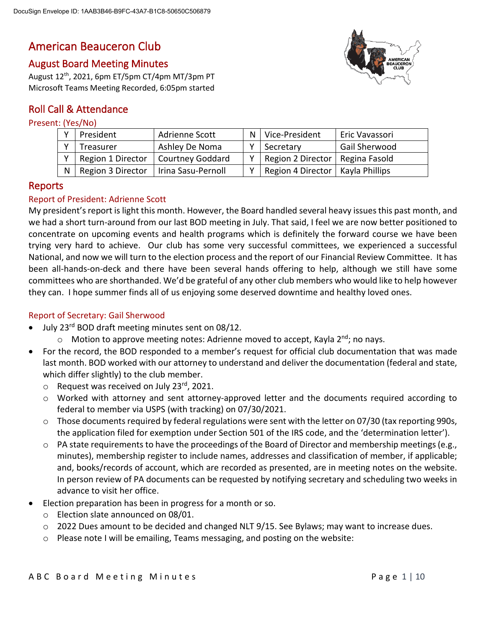# American Beauceron Club

# August Board Meeting Minutes

August 12th, 2021, 6pm ET/5pm CT/4pm MT/3pm PT Microsoft Teams Meeting Recorded, 6:05pm started

# Roll Call & Attendance

# Present: (Yes/No)

| President             | Adrienne Scott          | N   Vice-President | Eric Vavassori |
|-----------------------|-------------------------|--------------------|----------------|
| Treasurer             | Ashley De Noma          | Secretary          | Gail Sherwood  |
| Region 1 Director     | <b>Courtney Goddard</b> | Region 2 Director  | Regina Fasold  |
| N   Region 3 Director | Irina Sasu-Pernoll      | Region 4 Director  | Kayla Phillips |

# Reports

## Report of President: Adrienne Scott

My president's report is light this month. However, the Board handled several heavy issues this past month, and we had a short turn-around from our last BOD meeting in July. That said, I feel we are now better positioned to concentrate on upcoming events and health programs which is definitely the forward course we have been trying very hard to achieve. Our club has some very successful committees, we experienced a successful National, and now we will turn to the election process and the report of our Financial Review Committee. It has been all-hands-on-deck and there have been several hands offering to help, although we still have some committees who are shorthanded. We'd be grateful of any other club members who would like to help however they can. I hope summer finds all of us enjoying some deserved downtime and healthy loved ones.

#### Report of Secretary: Gail Sherwood

- July 23<sup>rd</sup> BOD draft meeting minutes sent on 08/12.
	- $\circ$  Motion to approve meeting notes: Adrienne moved to accept, Kayla 2<sup>nd</sup>; no nays.
- For the record, the BOD responded to a member's request for official club documentation that was made last month. BOD worked with our attorney to understand and deliver the documentation (federal and state, which differ slightly) to the club member.
	- $\circ$  Request was received on July 23rd, 2021.
	- $\circ$  Worked with attorney and sent attorney-approved letter and the documents required according to federal to member via USPS (with tracking) on 07/30/2021.
	- $\circ$  Those documents required by federal regulations were sent with the letter on 07/30 (tax reporting 990s, the application filed for exemption under Section 501 of the IRS code, and the 'determination letter').
	- $\circ$  PA state requirements to have the proceedings of the Board of Director and membership meetings (e.g., minutes), membership register to include names, addresses and classification of member, if applicable; and, books/records of account, which are recorded as presented, are in meeting notes on the website. In person review of PA documents can be requested by notifying secretary and scheduling two weeks in advance to visit her office.
- Election preparation has been in progress for a month or so.
	- o Election slate announced on 08/01.
	- o 2022 Dues amount to be decided and changed NLT 9/15. See Bylaws; may want to increase dues.
	- $\circ$  Please note I will be emailing, Teams messaging, and posting on the website:

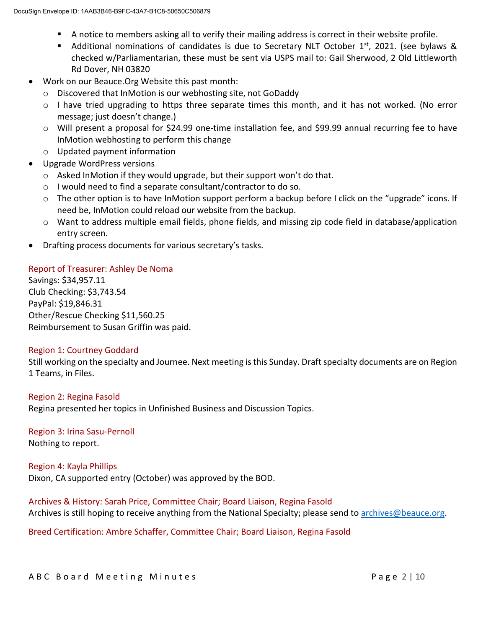- A notice to members asking all to verify their mailing address is correct in their website profile.
- Additional nominations of candidates is due to Secretary NLT October 1st, 2021. (see bylaws & checked w/Parliamentarian, these must be sent via USPS mail to: Gail Sherwood, 2 Old Littleworth Rd Dover, NH 03820
- Work on our Beauce.Org Website this past month:
	- o Discovered that InMotion is our webhosting site, not GoDaddy
	- o I have tried upgrading to https three separate times this month, and it has not worked. (No error message; just doesn't change.)
	- o Will present a proposal for \$24.99 one-time installation fee, and \$99.99 annual recurring fee to have InMotion webhosting to perform this change
	- o Updated payment information
- Upgrade WordPress versions
	- o Asked InMotion if they would upgrade, but their support won't do that.
	- o I would need to find a separate consultant/contractor to do so.
	- $\circ$  The other option is to have InMotion support perform a backup before I click on the "upgrade" icons. If need be, InMotion could reload our website from the backup.
	- $\circ$  Want to address multiple email fields, phone fields, and missing zip code field in database/application entry screen.
- Drafting process documents for various secretary's tasks.

#### Report of Treasurer: Ashley De Noma

Savings: \$34,957.11 Club Checking: \$3,743.54 PayPal: \$19,846.31 Other/Rescue Checking \$11,560.25 Reimbursement to Susan Griffin was paid.

#### Region 1: Courtney Goddard

Still working on the specialty and Journee. Next meeting is this Sunday. Draft specialty documents are on Region 1 Teams, in Files.

#### Region 2: Regina Fasold

Regina presented her topics in Unfinished Business and Discussion Topics.

Region 3: Irina Sasu-Pernoll Nothing to report.

#### Region 4: Kayla Phillips

Dixon, CA supported entry (October) was approved by the BOD.

Archives & History: Sarah Price, Committee Chair; Board Liaison, Regina Fasold Archives is still hoping to receive anything from the National Specialty; please send to [archives@beauce.org.](mailto:archives@beauce.org)

Breed Certification: Ambre Schaffer, Committee Chair; Board Liaison, Regina Fasold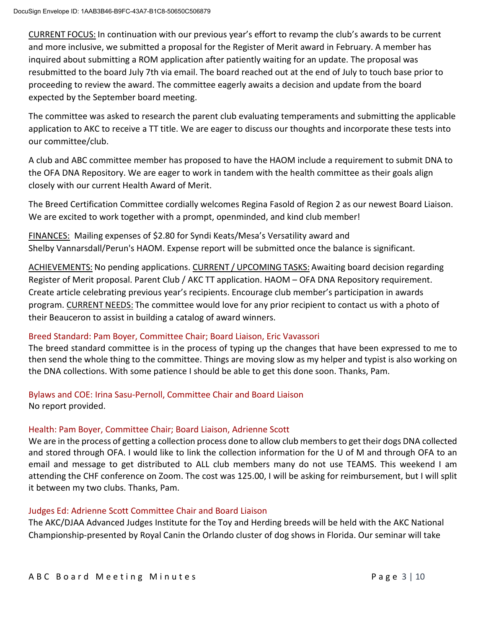CURRENT FOCUS: In continuation with our previous year's effort to revamp the club's awards to be current and more inclusive, we submitted a proposal for the Register of Merit award in February. A member has inquired about submitting a ROM application after patiently waiting for an update. The proposal was resubmitted to the board July 7th via email. The board reached out at the end of July to touch base prior to proceeding to review the award. The committee eagerly awaits a decision and update from the board expected by the September board meeting.

The committee was asked to research the parent club evaluating temperaments and submitting the applicable application to AKC to receive a TT title. We are eager to discuss our thoughts and incorporate these tests into our committee/club.

A club and ABC committee member has proposed to have the HAOM include a requirement to submit DNA to the OFA DNA Repository. We are eager to work in tandem with the health committee as their goals align closely with our current Health Award of Merit.

The Breed Certification Committee cordially welcomes Regina Fasold of Region 2 as our newest Board Liaison. We are excited to work together with a prompt, openminded, and kind club member!

FINANCES: Mailing expenses of \$2.80 for Syndi Keats/Mesa's Versatility award and Shelby Vannarsdall/Perun's HAOM. Expense report will be submitted once the balance is significant.

ACHIEVEMENTS: No pending applications. CURRENT / UPCOMING TASKS: Awaiting board decision regarding Register of Merit proposal. Parent Club / AKC TT application. HAOM – OFA DNA Repository requirement. Create article celebrating previous year's recipients. Encourage club member's participation in awards program. CURRENT NEEDS: The committee would love for any prior recipient to contact us with a photo of their Beauceron to assist in building a catalog of award winners.

## Breed Standard: Pam Boyer, Committee Chair; Board Liaison, Eric Vavassori

The breed standard committee is in the process of typing up the changes that have been expressed to me to then send the whole thing to the committee. Things are moving slow as my helper and typist is also working on the DNA collections. With some patience I should be able to get this done soon. Thanks, Pam.

Bylaws and COE: Irina Sasu-Pernoll, Committee Chair and Board Liaison No report provided.

## Health: Pam Boyer, Committee Chair; Board Liaison, Adrienne Scott

We are in the process of getting a collection process done to allow club members to get their dogs DNA collected and stored through OFA. I would like to link the collection information for the U of M and through OFA to an email and message to get distributed to ALL club members many do not use TEAMS. This weekend I am attending the CHF conference on Zoom. The cost was 125.00, I will be asking for reimbursement, but I will split it between my two clubs. Thanks, Pam.

## Judges Ed: Adrienne Scott Committee Chair and Board Liaison

The AKC/DJAA Advanced Judges Institute for the Toy and Herding breeds will be held with the AKC National Championship-presented by Royal Canin the Orlando cluster of dog shows in Florida. Our seminar will take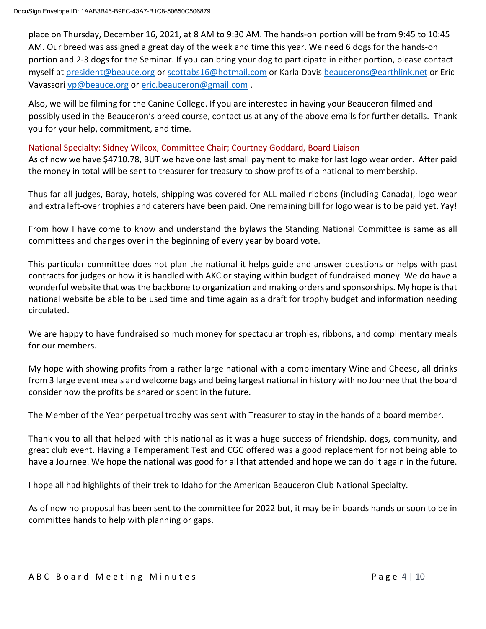place on Thursday, December 16, 2021, at 8 AM to 9:30 AM. The hands-on portion will be from 9:45 to 10:45 AM. Our breed was assigned a great day of the week and time this year. We need 6 dogs for the hands-on portion and 2-3 dogs for the Seminar. If you can bring your dog to participate in either portion, please contact myself at [president@beauce.org](mailto:president@beauce.org) or [scottabs16@hotmail.com](mailto:scottabs16@hotmail.com) or Karla Davis [beaucerons@earthlink.net](mailto:beaucerons@earthlink.net) or Eric Vavassori [vp@beauce.org](mailto:vp@beauce.org) or [eric.beauceron@gmail.com](mailto:eric.beauceron@gmail.com) .

Also, we will be filming for the Canine College. If you are interested in having your Beauceron filmed and possibly used in the Beauceron's breed course, contact us at any of the above emails for further details. Thank you for your help, commitment, and time.

#### National Specialty: Sidney Wilcox, Committee Chair; Courtney Goddard, Board Liaison

As of now we have \$4710.78, BUT we have one last small payment to make for last logo wear order. After paid the money in total will be sent to treasurer for treasury to show profits of a national to membership.

Thus far all judges, Baray, hotels, shipping was covered for ALL mailed ribbons (including Canada), logo wear and extra left-over trophies and caterers have been paid. One remaining bill for logo wear is to be paid yet. Yay!

From how I have come to know and understand the bylaws the Standing National Committee is same as all committees and changes over in the beginning of every year by board vote.

This particular committee does not plan the national it helps guide and answer questions or helps with past contracts for judges or how it is handled with AKC or staying within budget of fundraised money. We do have a wonderful website that was the backbone to organization and making orders and sponsorships. My hope is that national website be able to be used time and time again as a draft for trophy budget and information needing circulated.

We are happy to have fundraised so much money for spectacular trophies, ribbons, and complimentary meals for our members.

My hope with showing profits from a rather large national with a complimentary Wine and Cheese, all drinks from 3 large event meals and welcome bags and being largest national in history with no Journee that the board consider how the profits be shared or spent in the future.

The Member of the Year perpetual trophy was sent with Treasurer to stay in the hands of a board member.

Thank you to all that helped with this national as it was a huge success of friendship, dogs, community, and great club event. Having a Temperament Test and CGC offered was a good replacement for not being able to have a Journee. We hope the national was good for all that attended and hope we can do it again in the future.

I hope all had highlights of their trek to Idaho for the American Beauceron Club National Specialty.

As of now no proposal has been sent to the committee for 2022 but, it may be in boards hands or soon to be in committee hands to help with planning or gaps.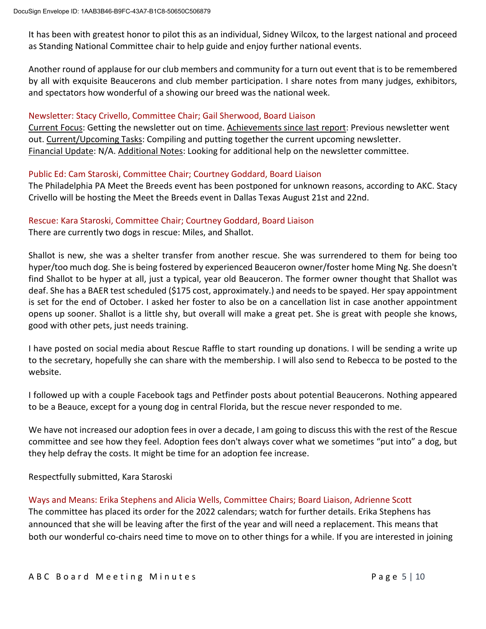It has been with greatest honor to pilot this as an individual, Sidney Wilcox, to the largest national and proceed as Standing National Committee chair to help guide and enjoy further national events.

Another round of applause for our club members and community for a turn out event that is to be remembered by all with exquisite Beaucerons and club member participation. I share notes from many judges, exhibitors, and spectators how wonderful of a showing our breed was the national week.

#### Newsletter: Stacy Crivello, Committee Chair; Gail Sherwood, Board Liaison

Current Focus: Getting the newsletter out on time. Achievements since last report: Previous newsletter went out. Current/Upcoming Tasks: Compiling and putting together the current upcoming newsletter. Financial Update: N/A. Additional Notes: Looking for additional help on the newsletter committee.

#### Public Ed: Cam Staroski, Committee Chair; Courtney Goddard, Board Liaison

The Philadelphia PA Meet the Breeds event has been postponed for unknown reasons, according to AKC. Stacy Crivello will be hosting the Meet the Breeds event in Dallas Texas August 21st and 22nd.

#### Rescue: Kara Staroski, Committee Chair; Courtney Goddard, Board Liaison

There are currently two dogs in rescue: Miles, and Shallot.

Shallot is new, she was a shelter transfer from another rescue. She was surrendered to them for being too hyper/too much dog. She is being fostered by experienced Beauceron owner/foster home Ming Ng. She doesn't find Shallot to be hyper at all, just a typical, year old Beauceron. The former owner thought that Shallot was deaf. She has a BAER test scheduled (\$175 cost, approximately.) and needs to be spayed. Her spay appointment is set for the end of October. I asked her foster to also be on a cancellation list in case another appointment opens up sooner. Shallot is a little shy, but overall will make a great pet. She is great with people she knows, good with other pets, just needs training.

I have posted on social media about Rescue Raffle to start rounding up donations. I will be sending a write up to the secretary, hopefully she can share with the membership. I will also send to Rebecca to be posted to the website.

I followed up with a couple Facebook tags and Petfinder posts about potential Beaucerons. Nothing appeared to be a Beauce, except for a young dog in central Florida, but the rescue never responded to me.

We have not increased our adoption fees in over a decade, I am going to discuss this with the rest of the Rescue committee and see how they feel. Adoption fees don't always cover what we sometimes "put into" a dog, but they help defray the costs. It might be time for an adoption fee increase.

#### Respectfully submitted, Kara Staroski

#### Ways and Means: Erika Stephens and Alicia Wells, Committee Chairs; Board Liaison, Adrienne Scott

The committee has placed its order for the 2022 calendars; watch for further details. Erika Stephens has announced that she will be leaving after the first of the year and will need a replacement. This means that both our wonderful co-chairs need time to move on to other things for a while. If you are interested in joining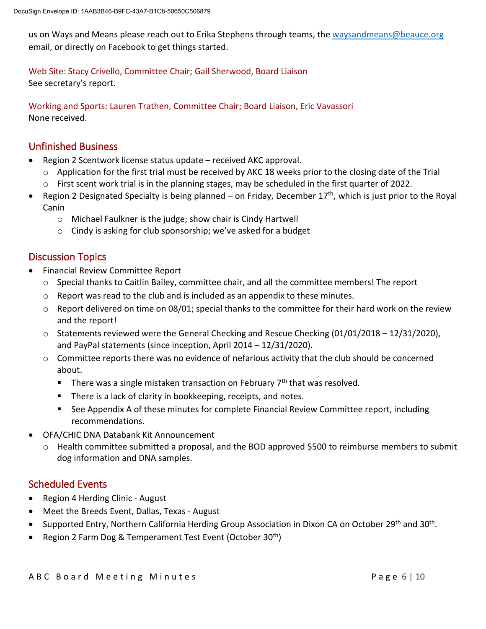us on Ways and Means please reach out to Erika Stephens through teams, th[e waysandmeans@beauce.org](mailto:waysandmeans@beauce.org) email, or directly on Facebook to get things started.

Web Site: Stacy Crivello, Committee Chair; Gail Sherwood, Board Liaison

See secretary's report.

Working and Sports: Lauren Trathen, Committee Chair; Board Liaison, Eric Vavassori None received.

# Unfinished Business

- Region 2 Scentwork license status update received AKC approval.
	- $\circ$  Application for the first trial must be received by AKC 18 weeks prior to the closing date of the Trial o First scent work trial is in the planning stages, may be scheduled in the first quarter of 2022.
- Region 2 Designated Specialty is being planned on Friday, December  $17<sup>th</sup>$ , which is just prior to the Royal Canin
	- o Michael Faulkner is the judge; show chair is Cindy Hartwell
	- o Cindy is asking for club sponsorship; we've asked for a budget

# Discussion Topics

- Financial Review Committee Report
	- $\circ$  Special thanks to Caitlin Bailey, committee chair, and all the committee members! The report
	- $\circ$  Report was read to the club and is included as an appendix to these minutes.
	- $\circ$  Report delivered on time on 08/01; special thanks to the committee for their hard work on the review and the report!
	- $\circ$  Statements reviewed were the General Checking and Rescue Checking (01/01/2018 12/31/2020), and PayPal statements (since inception, April 2014 – 12/31/2020).
	- o Committee reports there was no evidence of nefarious activity that the club should be concerned about.
		- There was a single mistaken transaction on February  $7<sup>th</sup>$  that was resolved.
		- **There is a lack of clarity in bookkeeping, receipts, and notes.**
		- See Appendix A of these minutes for complete Financial Review Committee report, including recommendations.
- OFA/CHIC DNA Databank Kit Announcement
	- o Health committee submitted a proposal, and the BOD approved \$500 to reimburse members to submit dog information and DNA samples.

# Scheduled Events

- Region 4 Herding Clinic August
- Meet the Breeds Event, Dallas, Texas August
- Supported Entry, Northern California Herding Group Association in Dixon CA on October 29<sup>th</sup> and 30<sup>th</sup>.
- Region 2 Farm Dog & Temperament Test Event (October  $30<sup>th</sup>$ )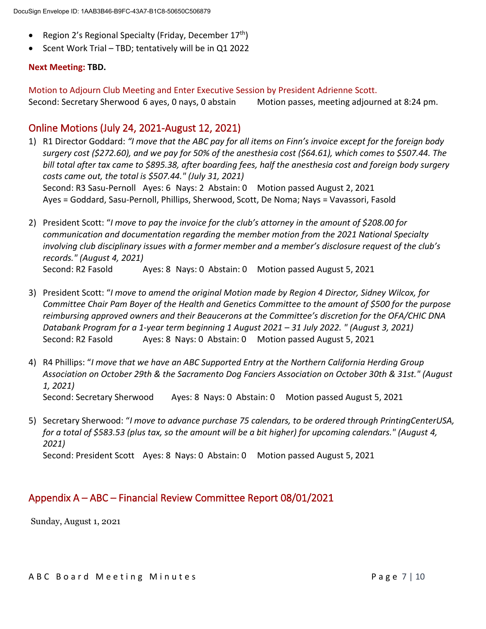- Region 2's Regional Specialty (Friday, December 17<sup>th</sup>)
- Scent Work Trial TBD; tentatively will be in Q1 2022

#### **Next Meeting: TBD.**

Motion to Adjourn Club Meeting and Enter Executive Session by President Adrienne Scott.

Second: Secretary Sherwood 6 ayes, 0 nays, 0 abstain Motion passes, meeting adjourned at 8:24 pm.

# Online Motions (July 24, 2021-August 12, 2021)

- 1) R1 Director Goddard: *"I move that the ABC pay for all items on Finn's invoice except for the foreign body surgery cost (\$272.60), and we pay for 50% of the anesthesia cost (\$64.61), which comes to \$507.44. The bill total after tax came to \$895.38, after boarding fees, half the anesthesia cost and foreign body surgery costs came out, the total is \$507.44." (July 31, 2021)* Second: R3 Sasu-Pernoll Ayes: 6 Nays: 2 Abstain: 0 Motion passed August 2, 2021 Ayes = Goddard, Sasu-Pernoll, Phillips, Sherwood, Scott, De Noma; Nays = Vavassori, Fasold
- 2) President Scott: "*I move to pay the invoice for the club's attorney in the amount of \$208.00 for communication and documentation regarding the member motion from the 2021 National Specialty involving club disciplinary issues with a former member and a member's disclosure request of the club's records." (August 4, 2021)* Second: R2 Fasold Ayes: 8 Nays: 0 Abstain: 0 Motion passed August 5, 2021
- 3) President Scott: "*I move to amend the original Motion made by Region 4 Director, Sidney Wilcox, for Committee Chair Pam Boyer of the Health and Genetics Committee to the amount of \$500 for the purpose reimbursing approved owners and their Beaucerons at the Committee's discretion for the OFA/CHIC DNA Databank Program for a 1-year term beginning 1 August 2021 – 31 July 2022. " (August 3, 2021)* Second: R2 Fasold Ayes: 8 Nays: 0 Abstain: 0 Motion passed August 5, 2021
- 4) R4 Phillips: "*I move that we have an ABC Supported Entry at the Northern California Herding Group Association on October 29th & the Sacramento Dog Fanciers Association on October 30th & 31st." (August 1, 2021)* Second: Secretary Sherwood Ayes: 8 Nays: 0 Abstain: 0 Motion passed August 5, 2021
- 5) Secretary Sherwood: "*I move to advance purchase 75 calendars, to be ordered through PrintingCenterUSA, for a total of \$583.53 (plus tax, so the amount will be a bit higher) for upcoming calendars." (August 4, 2021)* Second: President Scott Ayes: 8 Nays: 0 Abstain: 0 Motion passed August 5, 2021

# Appendix A – ABC – Financial Review Committee Report 08/01/2021

Sunday, August 1, 2021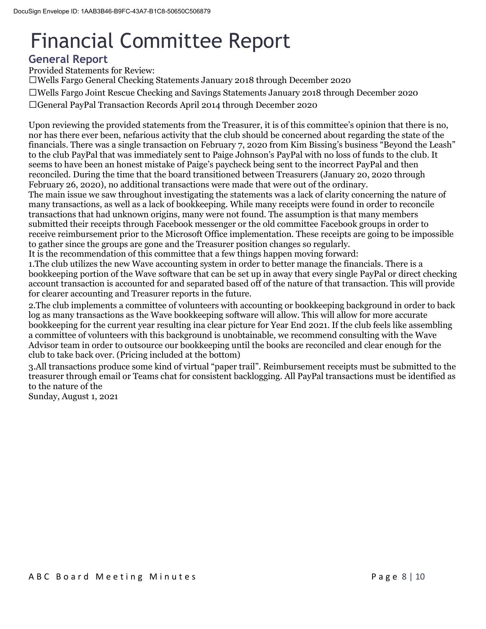# Financial Committee Report

# **General Report**

Provided Statements for Review:

Wells Fargo General Checking Statements January 2018 through December 2020 Wells Fargo Joint Rescue Checking and Savings Statements January 2018 through December 2020 General PayPal Transaction Records April 2014 through December 2020

Upon reviewing the provided statements from the Treasurer, it is of this committee's opinion that there is no, nor has there ever been, nefarious activity that the club should be concerned about regarding the state of the financials. There was a single transaction on February 7, 2020 from Kim Bissing's business "Beyond the Leash" to the club PayPal that was immediately sent to Paige Johnson's PayPal with no loss of funds to the club. It seems to have been an honest mistake of Paige's paycheck being sent to the incorrect PayPal and then reconciled. During the time that the board transitioned between Treasurers (January 20, 2020 through February 26, 2020), no additional transactions were made that were out of the ordinary.

The main issue we saw throughout investigating the statements was a lack of clarity concerning the nature of many transactions, as well as a lack of bookkeeping. While many receipts were found in order to reconcile transactions that had unknown origins, many were not found. The assumption is that many members submitted their receipts through Facebook messenger or the old committee Facebook groups in order to receive reimbursement prior to the Microsoft Office implementation. These receipts are going to be impossible to gather since the groups are gone and the Treasurer position changes so regularly.

It is the recommendation of this committee that a few things happen moving forward:

1.The club utilizes the new Wave accounting system in order to better manage the financials. There is a bookkeeping portion of the Wave software that can be set up in away that every single PayPal or direct checking account transaction is accounted for and separated based off of the nature of that transaction. This will provide for clearer accounting and Treasurer reports in the future.

2.The club implements a committee of volunteers with accounting or bookkeeping background in order to back log as many transactions as the Wave bookkeeping software will allow. This will allow for more accurate bookkeeping for the current year resulting ina clear picture for Year End 2021. If the club feels like assembling a committee of volunteers with this background is unobtainable, we recommend consulting with the Wave Advisor team in order to outsource our bookkeeping until the books are reconciled and clear enough for the club to take back over. (Pricing included at the bottom)

3.All transactions produce some kind of virtual "paper trail". Reimbursement receipts must be submitted to the treasurer through email or Teams chat for consistent backlogging. All PayPal transactions must be identified as to the nature of the

Sunday, August 1, 2021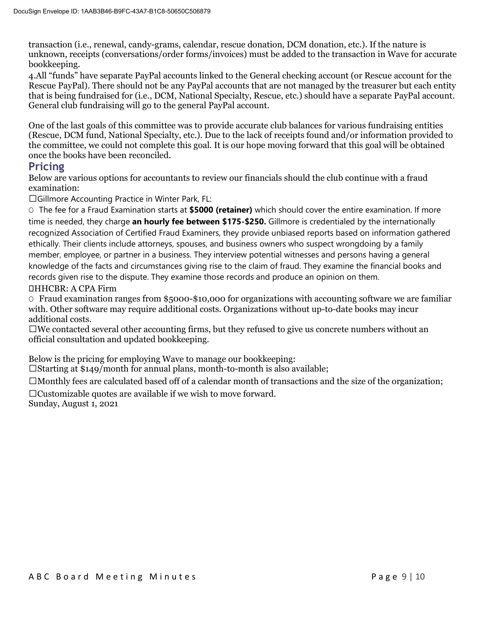transaction (i.e., renewal, candy-grams, calendar, rescue donation, DCM donation, etc.). If the nature is unknown, receipts (conversations/order forms/invoices) must be added to the transaction in Wave for accurate bookkeeping.

4.All "funds" have separate PayPal accounts linked to the General checking account (or Rescue account for the Rescue PayPal). There should not be any PayPal accounts that are not managed by the treasurer but each entity that is being fundraised for (i.e., DCM, National Specialty, Rescue, etc.) should have a separate PayPal account. General club fundraising will go to the general PayPal account.

One of the last goals of this committee was to provide accurate club balances for various fundraising entities (Rescue, DCM fund, National Specialty, etc.). Due to the lack of receipts found and/or information provided to the committee, we could not complete this goal. It is our hope moving forward that this goal will be obtained once the books have been reconciled.

# **Pricing**

Below are various options for accountants to review our financials should the club continue with a fraud examination:

Gillmore Accounting Practice in Winter Park, FL:

O The fee for a Fraud Examination starts at **\$5000 (retainer)** which should cover the entire examination. If more time is needed, they charge **an hourly fee between \$175-\$250.** Gillmore is credentialed by the internationally recognized Association of Certified Fraud Examiners, they provide unbiased reports based on information gathered ethically. Their clients include attorneys, spouses, and business owners who suspect wrongdoing by a family member, employee, or partner in a business. They interview potential witnesses and persons having a general knowledge of the facts and circumstances giving rise to the claim of fraud. They examine the financial books and records given rise to the dispute. They examine those records and produce an opinion on them. HHCBR: A CPA Firm

 $\circ$  Fraud examination ranges from \$5000-\$10,000 for organizations with accounting software we are familiar with. Other software may require additional costs. Organizations without up-to-date books may incur additional costs.

 $\square$ We contacted several other accounting firms, but they refused to give us concrete numbers without an official consultation and updated bookkeeping.

Below is the pricing for employing Wave to manage our bookkeeping:

 $\Box$ Starting at \$149/month for annual plans, month-to-month is also available;

 $\Box$ Monthly fees are calculated based off of a calendar month of transactions and the size of the organization;

 $\Box$ Customizable quotes are available if we wish to move forward. Sunday, August 1, 2021